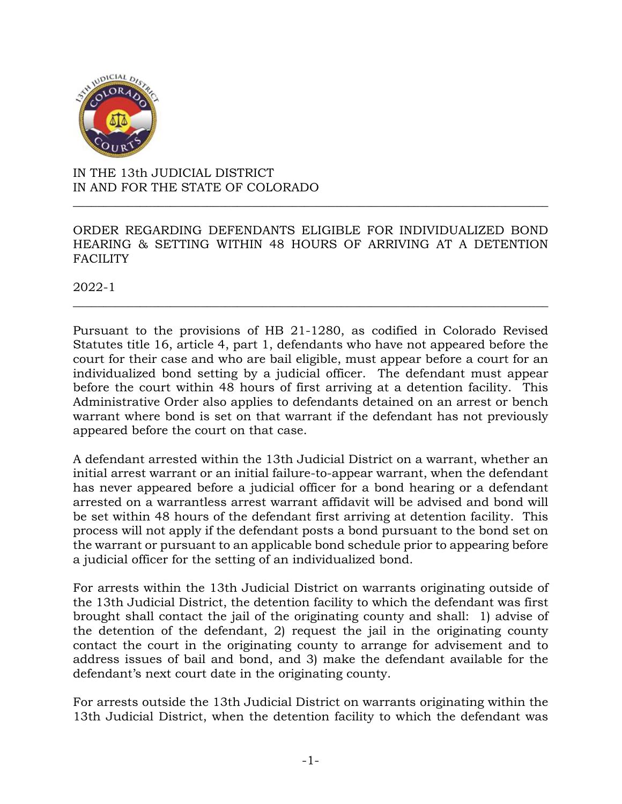

IN THE 13th JUDICIAL DISTRICT IN AND FOR THE STATE OF COLORADO

ORDER REGARDING DEFENDANTS ELIGIBLE FOR INDIVIDUALIZED BOND HEARING & SETTING WITHIN 48 HOURS OF ARRIVING AT A DETENTION **FACILITY** 

\_\_\_\_\_\_\_\_\_\_\_\_\_\_\_\_\_\_\_\_\_\_\_\_\_\_\_\_\_\_\_\_\_\_\_\_\_\_\_\_\_\_\_\_\_\_\_\_\_\_\_\_\_\_\_\_\_\_\_\_\_\_\_\_\_\_\_\_\_\_\_\_\_\_\_\_\_\_

\_\_\_\_\_\_\_\_\_\_\_\_\_\_\_\_\_\_\_\_\_\_\_\_\_\_\_\_\_\_\_\_\_\_\_\_\_\_\_\_\_\_\_\_\_\_\_\_\_\_\_\_\_\_\_\_\_\_\_\_\_\_\_\_\_\_\_\_\_\_\_\_\_\_\_\_\_\_

2022-1

Pursuant to the provisions of HB 21-1280, as codified in Colorado Revised Statutes title 16, article 4, part 1, defendants who have not appeared before the court for their case and who are bail eligible, must appear before a court for an individualized bond setting by a judicial officer. The defendant must appear before the court within 48 hours of first arriving at a detention facility. This Administrative Order also applies to defendants detained on an arrest or bench warrant where bond is set on that warrant if the defendant has not previously appeared before the court on that case.

A defendant arrested within the 13th Judicial District on a warrant, whether an initial arrest warrant or an initial failure-to-appear warrant, when the defendant has never appeared before a judicial officer for a bond hearing or a defendant arrested on a warrantless arrest warrant affidavit will be advised and bond will be set within 48 hours of the defendant first arriving at detention facility. This process will not apply if the defendant posts a bond pursuant to the bond set on the warrant or pursuant to an applicable bond schedule prior to appearing before a judicial officer for the setting of an individualized bond.

For arrests within the 13th Judicial District on warrants originating outside of the 13th Judicial District, the detention facility to which the defendant was first brought shall contact the jail of the originating county and shall: 1) advise of the detention of the defendant, 2) request the jail in the originating county contact the court in the originating county to arrange for advisement and to address issues of bail and bond, and 3) make the defendant available for the defendant's next court date in the originating county.

For arrests outside the 13th Judicial District on warrants originating within the 13th Judicial District, when the detention facility to which the defendant was